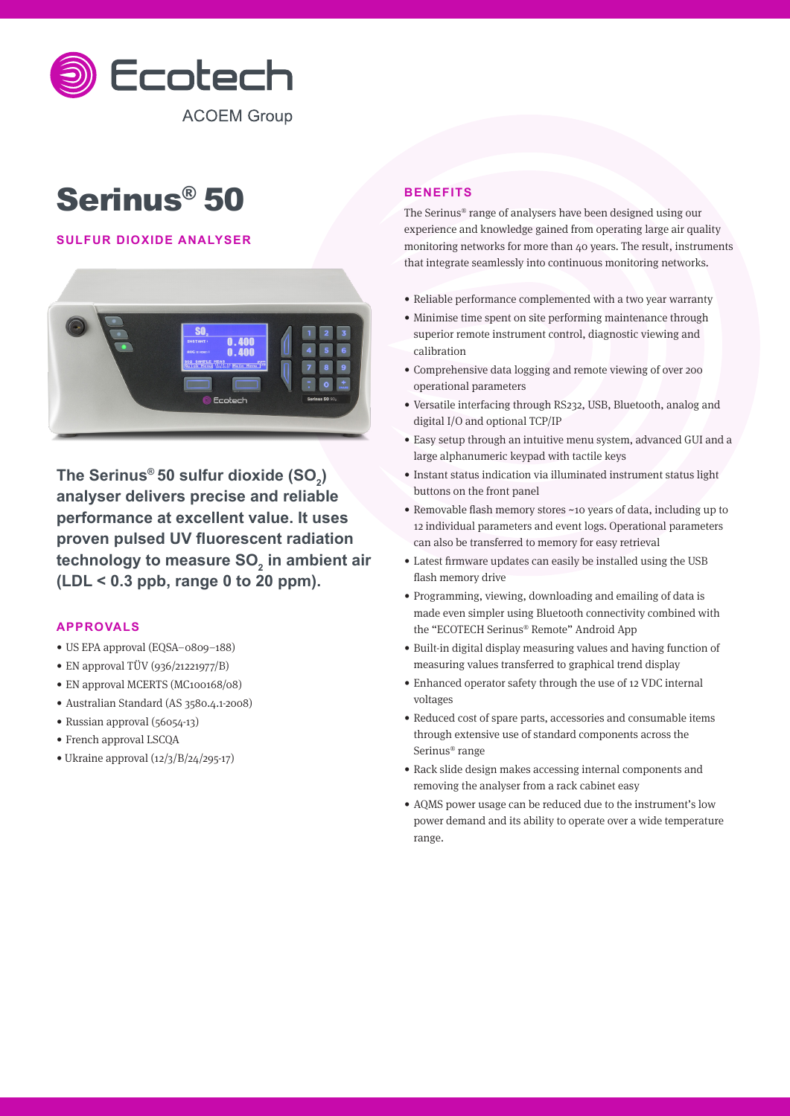

# Serinus® 50

# **SULFUR DIOXIDE ANALYSER**



**The Serinus® 50 sulfur dioxide (SO2 ) analyser delivers precise and reliable performance at excellent value. It uses proven pulsed UV fluorescent radiation**  technology to measure SO<sub>2</sub> in ambient air **(LDL < 0.3 ppb, range 0 to 20 ppm).**

# **APPROVALS**

- US EPA approval (EQSA–0809–188)
- EN approval TÜV (936/21221977/B)
- EN approval MCERTS (MC100168/08)
- Australian Standard (AS 3580.4.1-2008)
- Russian approval (56054-13)
- French approval LSCQA
- Ukraine approval (12/3/B/24/295-17)

# **BENEFITS**

The Serinus® range of analysers have been designed using our experience and knowledge gained from operating large air quality monitoring networks for more than 40 years. The result, instruments that integrate seamlessly into continuous monitoring networks.

- Reliable performance complemented with a two year warranty
- Minimise time spent on site performing maintenance through superior remote instrument control, diagnostic viewing and calibration
- Comprehensive data logging and remote viewing of over 200 operational parameters
- Versatile interfacing through RS232, USB, Bluetooth, analog and digital I/O and optional TCP/IP
- Easy setup through an intuitive menu system, advanced GUI and a large alphanumeric keypad with tactile keys
- Instant status indication via illuminated instrument status light buttons on the front panel
- Removable flash memory stores ~10 years of data, including up to 12 individual parameters and event logs. Operational parameters can also be transferred to memory for easy retrieval
- Latest firmware updates can easily be installed using the USB flash memory drive
- Programming, viewing, downloading and emailing of data is made even simpler using Bluetooth connectivity combined with the "ECOTECH Serinus® Remote" Android App
- Built-in digital display measuring values and having function of measuring values transferred to graphical trend display
- Enhanced operator safety through the use of 12 VDC internal voltages
- Reduced cost of spare parts, accessories and consumable items through extensive use of standard components across the Serinus® range
- Rack slide design makes accessing internal components and removing the analyser from a rack cabinet easy
- AQMS power usage can be reduced due to the instrument's low power demand and its ability to operate over a wide temperature range.